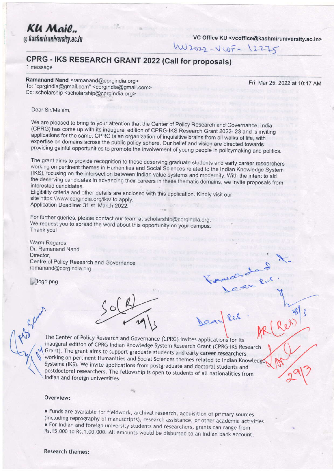Klı Mail... @ kashmiruniversity.ac.in

VC Office KU <vcoffice@kashmiruniversity.ac.in>

# W2022-VCOF-12275

 $\Omega$  o  $\mathcal{S}$ 

# CPRG - IKS RESEARCH GRANT 2022 (Call for proposals)

1 message

Ramanand Nand <ramanand@cprgindia.org> To: "cprgindia@gmail.com" <cprgindia@gmail.com> Cc: scholarship <scholarship@cprgindia.org>

Fri, Mar 25, 2022 at 10:17 AM

Dear Sir/Ma'am.

We are pleased to bring to your attention that the Center of Policy Research and Governance, India (CPRG) has come up with its inaugural edition of CPRG-IKS Research Grant 2022- 23 and is inviting applications for the same. CPRG is an organization of inquisitive brains from all walks of life, with expertise on domains across the public policy sphere. Our belief and vision are directed towards providing gainful opportunities to promote the involvement of young people in policymaking and politics.

The grant aims to provide recognition to those deserving graduate students and early career researchers working on pertinent themes in Humanities and Social Sciences related to the Indian Knowledge System (IKS), focusing on the intersection between Indian value systems and modernity. With the intent to aid the deserving candidates in advancing their careers in these thematic domains, we invite proposals from interested candidates.

Eligibility criteria and other details are enclosed with this application. Kindly visit our site https://www.cprgindia.org/iks/ to apply. Application Deadline: 31 st March 2022.

For further queries, please contact our team at scholarship@cprgindia.org. We request you to spread the word about this opportunity on your campus. Thank you!

**Warm Regards** Dr. Ramanand Nand Director. Centre of Policy Research and Governance ramanand@cprgindia.org

logo.png

The Center of Policy Research and Governance (CPRG) invites applications for its inaugural edition of CPRG Indian Knowledge System Research Grant (CPRG-IKS Research Grant). The grant aims to support graduate students and early career researchers working on pertinent Humanities and Social Sciences themes related to Indian Knowledge Systems (IKS). We invite applications from postgraduate and doctoral students and postdoctoral researchers. The fellowship is open to students of all nationalities from Indian and foreign universities.

# Overview:

. Funds are available for fieldwork, archival research, acquisition of primary sources (including reprography of manuscripts), research assistance, or other academic activities. . For Indian and foreign university students and researchers, grants can range from Rs.15,000 to Rs.1,00,000. All amounts would be disbursed to an Indian bank account.